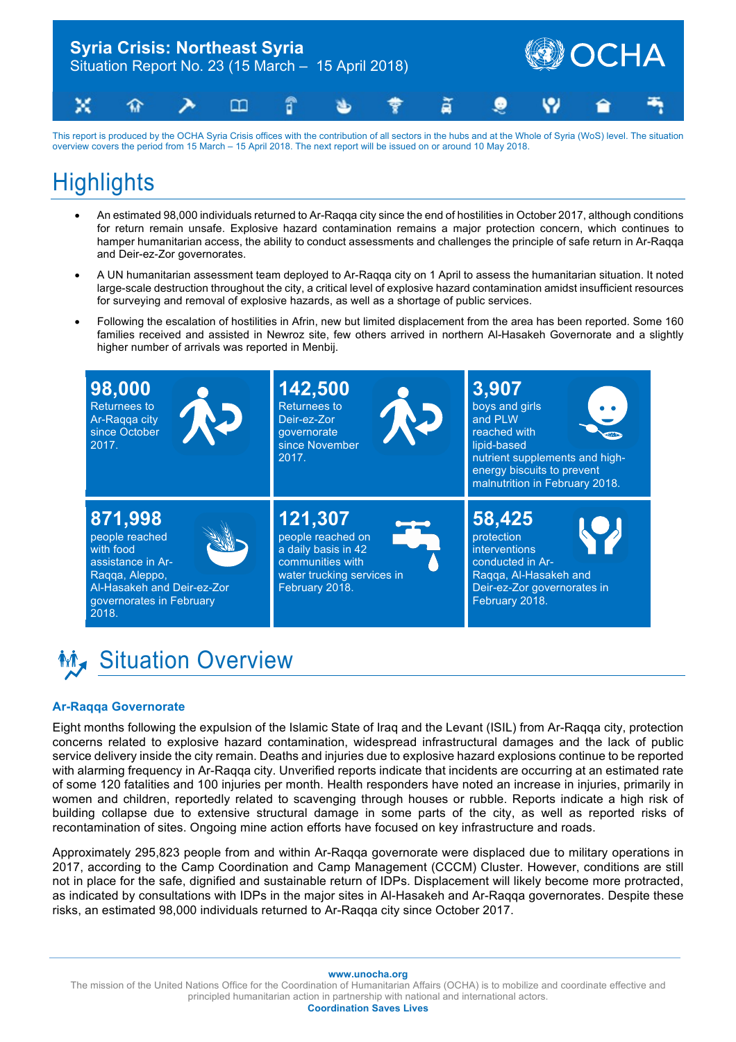

This report is produced by the OCHA Syria Crisis offices with the contribution of all sectors in the hubs and at the Whole of Syria (WoS) level. The situation overview covers the period from 15 March – 15 April 2018. The next report will be issued on or around 10 May 2018.

## **Highlights**

- An estimated 98,000 individuals returned to Ar-Raqqa city since the end of hostilities in October 2017, although conditions for return remain unsafe. Explosive hazard contamination remains a major protection concern, which continues to hamper humanitarian access, the ability to conduct assessments and challenges the principle of safe return in Ar-Raqqa and Deir-ez-Zor governorates.
- A UN humanitarian assessment team deployed to Ar-Raqqa city on 1 April to assess the humanitarian situation. It noted large-scale destruction throughout the city, a critical level of explosive hazard contamination amidst insufficient resources for surveying and removal of explosive hazards, as well as a shortage of public services.
- Following the escalation of hostilities in Afrin, new but limited displacement from the area has been reported. Some 160 families received and assisted in Newroz site, few others arrived in northern Al-Hasakeh Governorate and a slightly higher number of arrivals was reported in Menbij.



# **MA Situation Overview**

#### **Ar-Raqqa Governorate**

Eight months following the expulsion of the Islamic State of Iraq and the Levant (ISIL) from Ar-Raqqa city, protection concerns related to explosive hazard contamination, widespread infrastructural damages and the lack of public service delivery inside the city remain. Deaths and injuries due to explosive hazard explosions continue to be reported with alarming frequency in Ar-Raqqa city. Unverified reports indicate that incidents are occurring at an estimated rate of some 120 fatalities and 100 injuries per month. Health responders have noted an increase in injuries, primarily in women and children, reportedly related to scavenging through houses or rubble. Reports indicate a high risk of building collapse due to extensive structural damage in some parts of the city, as well as reported risks of recontamination of sites. Ongoing mine action efforts have focused on key infrastructure and roads.

Approximately 295,823 people from and within Ar-Raqqa governorate were displaced due to military operations in 2017, according to the Camp Coordination and Camp Management (CCCM) Cluster. However, conditions are still not in place for the safe, dignified and sustainable return of IDPs. Displacement will likely become more protracted, as indicated by consultations with IDPs in the major sites in Al-Hasakeh and Ar-Raqqa governorates. Despite these risks, an estimated 98,000 individuals returned to Ar-Raqqa city since October 2017.

**www.unocha.org**

The mission of the United Nations Office for the Coordination of Humanitarian Affairs (OCHA) is to mobilize and coordinate effective and principled humanitarian action in partnership with national and international actors. **Coordination Saves Lives**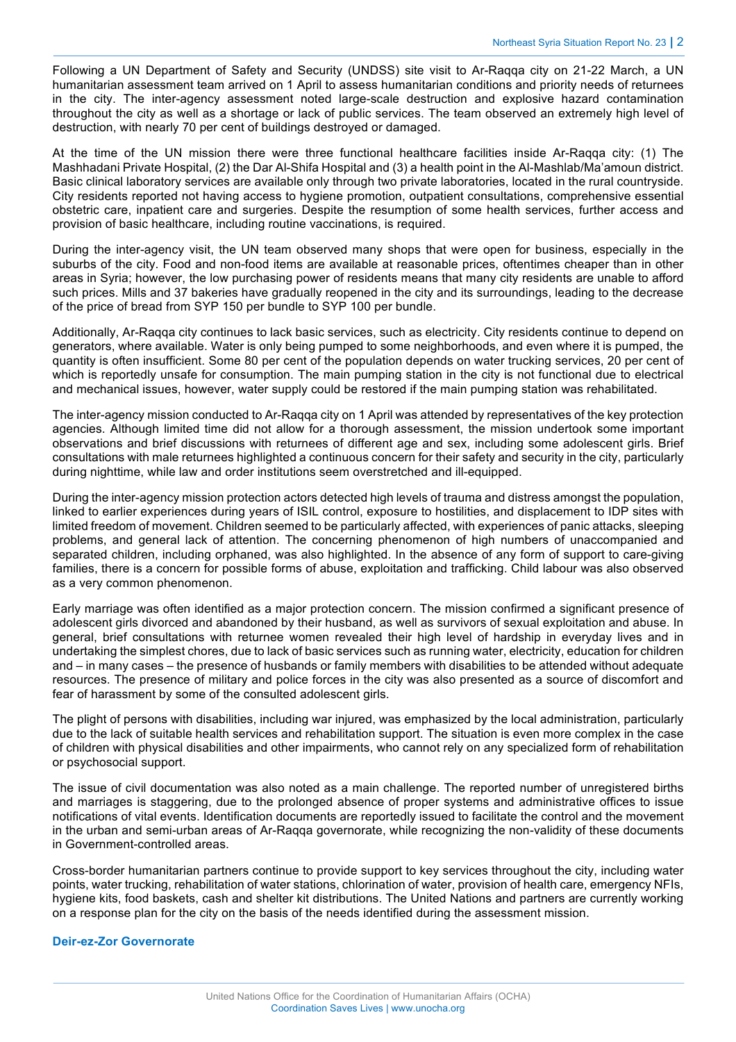Following a UN Department of Safety and Security (UNDSS) site visit to Ar-Raqqa city on 21-22 March, a UN humanitarian assessment team arrived on 1 April to assess humanitarian conditions and priority needs of returnees in the city. The inter-agency assessment noted large-scale destruction and explosive hazard contamination throughout the city as well as a shortage or lack of public services. The team observed an extremely high level of destruction, with nearly 70 per cent of buildings destroyed or damaged.

At the time of the UN mission there were three functional healthcare facilities inside Ar-Raqqa city: (1) The Mashhadani Private Hospital, (2) the Dar Al-Shifa Hospital and (3) a health point in the Al-Mashlab/Ma'amoun district. Basic clinical laboratory services are available only through two private laboratories, located in the rural countryside. City residents reported not having access to hygiene promotion, outpatient consultations, comprehensive essential obstetric care, inpatient care and surgeries. Despite the resumption of some health services, further access and provision of basic healthcare, including routine vaccinations, is required.

During the inter-agency visit, the UN team observed many shops that were open for business, especially in the suburbs of the city. Food and non-food items are available at reasonable prices, oftentimes cheaper than in other areas in Syria; however, the low purchasing power of residents means that many city residents are unable to afford such prices. Mills and 37 bakeries have gradually reopened in the city and its surroundings, leading to the decrease of the price of bread from SYP 150 per bundle to SYP 100 per bundle.

Additionally, Ar-Raqqa city continues to lack basic services, such as electricity. City residents continue to depend on generators, where available. Water is only being pumped to some neighborhoods, and even where it is pumped, the quantity is often insufficient. Some 80 per cent of the population depends on water trucking services, 20 per cent of which is reportedly unsafe for consumption. The main pumping station in the city is not functional due to electrical and mechanical issues, however, water supply could be restored if the main pumping station was rehabilitated.

The inter-agency mission conducted to Ar-Raqqa city on 1 April was attended by representatives of the key protection agencies. Although limited time did not allow for a thorough assessment, the mission undertook some important observations and brief discussions with returnees of different age and sex, including some adolescent girls. Brief consultations with male returnees highlighted a continuous concern for their safety and security in the city, particularly during nighttime, while law and order institutions seem overstretched and ill-equipped.

During the inter-agency mission protection actors detected high levels of trauma and distress amongst the population, linked to earlier experiences during years of ISIL control, exposure to hostilities, and displacement to IDP sites with limited freedom of movement. Children seemed to be particularly affected, with experiences of panic attacks, sleeping problems, and general lack of attention. The concerning phenomenon of high numbers of unaccompanied and separated children, including orphaned, was also highlighted. In the absence of any form of support to care-giving families, there is a concern for possible forms of abuse, exploitation and trafficking. Child labour was also observed as a very common phenomenon.

Early marriage was often identified as a major protection concern. The mission confirmed a significant presence of adolescent girls divorced and abandoned by their husband, as well as survivors of sexual exploitation and abuse. In general, brief consultations with returnee women revealed their high level of hardship in everyday lives and in undertaking the simplest chores, due to lack of basic services such as running water, electricity, education for children and – in many cases – the presence of husbands or family members with disabilities to be attended without adequate resources. The presence of military and police forces in the city was also presented as a source of discomfort and fear of harassment by some of the consulted adolescent girls.

The plight of persons with disabilities, including war injured, was emphasized by the local administration, particularly due to the lack of suitable health services and rehabilitation support. The situation is even more complex in the case of children with physical disabilities and other impairments, who cannot rely on any specialized form of rehabilitation or psychosocial support.

The issue of civil documentation was also noted as a main challenge. The reported number of unregistered births and marriages is staggering, due to the prolonged absence of proper systems and administrative offices to issue notifications of vital events. Identification documents are reportedly issued to facilitate the control and the movement in the urban and semi-urban areas of Ar-Raqqa governorate, while recognizing the non-validity of these documents in Government-controlled areas.

Cross-border humanitarian partners continue to provide support to key services throughout the city, including water points, water trucking, rehabilitation of water stations, chlorination of water, provision of health care, emergency NFIs, hygiene kits, food baskets, cash and shelter kit distributions. The United Nations and partners are currently working on a response plan for the city on the basis of the needs identified during the assessment mission.

#### **Deir-ez-Zor Governorate**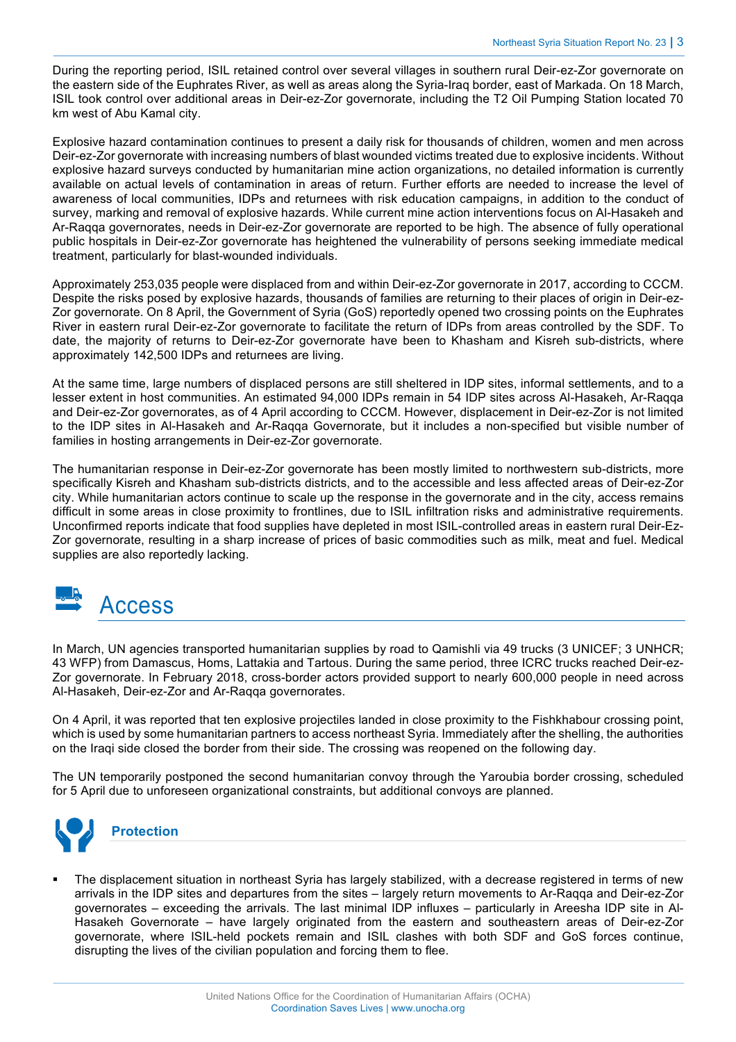During the reporting period, ISIL retained control over several villages in southern rural Deir-ez-Zor governorate on the eastern side of the Euphrates River, as well as areas along the Syria-Iraq border, east of Markada. On 18 March, ISIL took control over additional areas in Deir-ez-Zor governorate, including the T2 Oil Pumping Station located 70 km west of Abu Kamal city.

Explosive hazard contamination continues to present a daily risk for thousands of children, women and men across Deir-ez-Zor governorate with increasing numbers of blast wounded victims treated due to explosive incidents. Without explosive hazard surveys conducted by humanitarian mine action organizations, no detailed information is currently available on actual levels of contamination in areas of return. Further efforts are needed to increase the level of awareness of local communities, IDPs and returnees with risk education campaigns, in addition to the conduct of survey, marking and removal of explosive hazards. While current mine action interventions focus on Al-Hasakeh and Ar-Raqqa governorates, needs in Deir-ez-Zor governorate are reported to be high. The absence of fully operational public hospitals in Deir-ez-Zor governorate has heightened the vulnerability of persons seeking immediate medical treatment, particularly for blast-wounded individuals.

Approximately 253,035 people were displaced from and within Deir-ez-Zor governorate in 2017, according to CCCM. Despite the risks posed by explosive hazards, thousands of families are returning to their places of origin in Deir-ez-Zor governorate. On 8 April, the Government of Syria (GoS) reportedly opened two crossing points on the Euphrates River in eastern rural Deir-ez-Zor governorate to facilitate the return of IDPs from areas controlled by the SDF. To date, the majority of returns to Deir-ez-Zor governorate have been to Khasham and Kisreh sub-districts, where approximately 142,500 IDPs and returnees are living.

At the same time, large numbers of displaced persons are still sheltered in IDP sites, informal settlements, and to a lesser extent in host communities. An estimated 94,000 IDPs remain in 54 IDP sites across Al-Hasakeh, Ar-Raqqa and Deir-ez-Zor governorates, as of 4 April according to CCCM. However, displacement in Deir-ez-Zor is not limited to the IDP sites in Al-Hasakeh and Ar-Raqqa Governorate, but it includes a non-specified but visible number of families in hosting arrangements in Deir-ez-Zor governorate.

The humanitarian response in Deir-ez-Zor governorate has been mostly limited to northwestern sub-districts, more specifically Kisreh and Khasham sub-districts districts, and to the accessible and less affected areas of Deir-ez-Zor city. While humanitarian actors continue to scale up the response in the governorate and in the city, access remains difficult in some areas in close proximity to frontlines, due to ISIL infiltration risks and administrative requirements. Unconfirmed reports indicate that food supplies have depleted in most ISIL-controlled areas in eastern rural Deir-Ez-Zor governorate, resulting in a sharp increase of prices of basic commodities such as milk, meat and fuel. Medical supplies are also reportedly lacking.



In March, UN agencies transported humanitarian supplies by road to Qamishli via 49 trucks (3 UNICEF; 3 UNHCR; 43 WFP) from Damascus, Homs, Lattakia and Tartous. During the same period, three ICRC trucks reached Deir-ez-Zor governorate. In February 2018, cross-border actors provided support to nearly 600,000 people in need across Al-Hasakeh, Deir-ez-Zor and Ar-Raqqa governorates.

On 4 April, it was reported that ten explosive projectiles landed in close proximity to the Fishkhabour crossing point, which is used by some humanitarian partners to access northeast Syria. Immediately after the shelling, the authorities on the Iraqi side closed the border from their side. The crossing was reopened on the following day.

The UN temporarily postponed the second humanitarian convoy through the Yaroubia border crossing, scheduled for 5 April due to unforeseen organizational constraints, but additional convoys are planned.



### **Protection**

The displacement situation in northeast Syria has largely stabilized, with a decrease registered in terms of new arrivals in the IDP sites and departures from the sites – largely return movements to Ar-Raqqa and Deir-ez-Zor governorates – exceeding the arrivals. The last minimal IDP influxes – particularly in Areesha IDP site in Al-Hasakeh Governorate – have largely originated from the eastern and southeastern areas of Deir-ez-Zor governorate, where ISIL-held pockets remain and ISIL clashes with both SDF and GoS forces continue, disrupting the lives of the civilian population and forcing them to flee.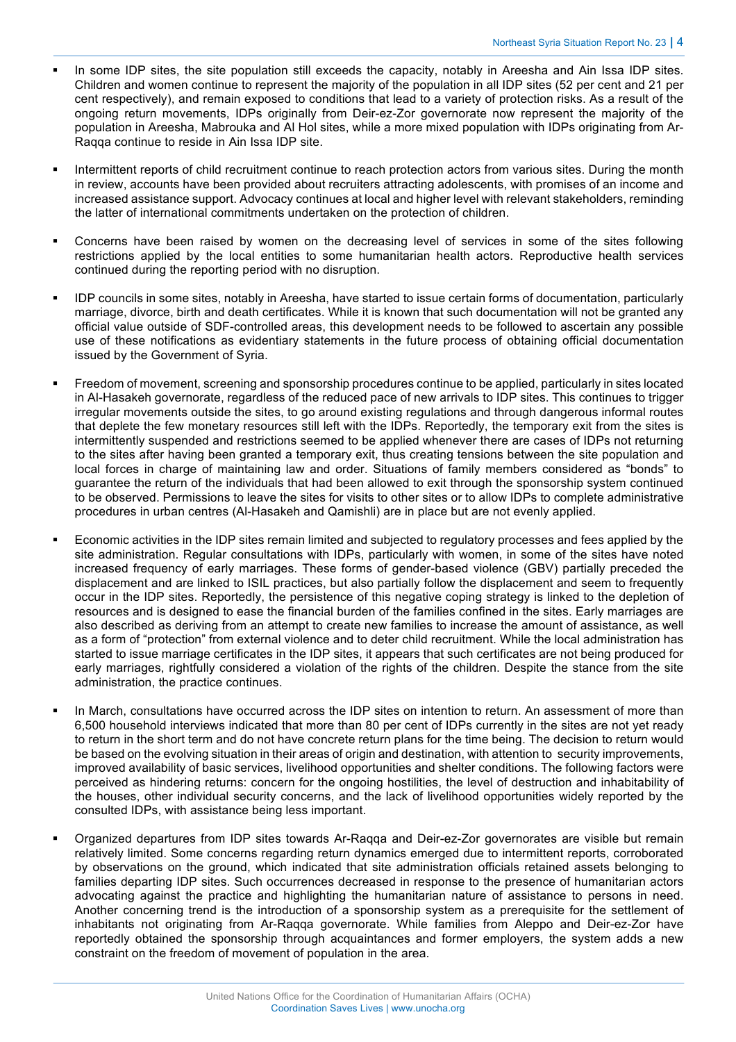- In some IDP sites, the site population still exceeds the capacity, notably in Areesha and Ain Issa IDP sites. Children and women continue to represent the majority of the population in all IDP sites (52 per cent and 21 per cent respectively), and remain exposed to conditions that lead to a variety of protection risks. As a result of the ongoing return movements, IDPs originally from Deir-ez-Zor governorate now represent the majority of the population in Areesha, Mabrouka and Al Hol sites, while a more mixed population with IDPs originating from Ar-Raqqa continue to reside in Ain Issa IDP site.
- Intermittent reports of child recruitment continue to reach protection actors from various sites. During the month in review, accounts have been provided about recruiters attracting adolescents, with promises of an income and increased assistance support. Advocacy continues at local and higher level with relevant stakeholders, reminding the latter of international commitments undertaken on the protection of children.
- Concerns have been raised by women on the decreasing level of services in some of the sites following restrictions applied by the local entities to some humanitarian health actors. Reproductive health services continued during the reporting period with no disruption.
- § IDP councils in some sites, notably in Areesha, have started to issue certain forms of documentation, particularly marriage, divorce, birth and death certificates. While it is known that such documentation will not be granted any official value outside of SDF-controlled areas, this development needs to be followed to ascertain any possible use of these notifications as evidentiary statements in the future process of obtaining official documentation issued by the Government of Syria.
- Freedom of movement, screening and sponsorship procedures continue to be applied, particularly in sites located in Al-Hasakeh governorate, regardless of the reduced pace of new arrivals to IDP sites. This continues to trigger irregular movements outside the sites, to go around existing regulations and through dangerous informal routes that deplete the few monetary resources still left with the IDPs. Reportedly, the temporary exit from the sites is intermittently suspended and restrictions seemed to be applied whenever there are cases of IDPs not returning to the sites after having been granted a temporary exit, thus creating tensions between the site population and local forces in charge of maintaining law and order. Situations of family members considered as "bonds" to guarantee the return of the individuals that had been allowed to exit through the sponsorship system continued to be observed. Permissions to leave the sites for visits to other sites or to allow IDPs to complete administrative procedures in urban centres (Al-Hasakeh and Qamishli) are in place but are not evenly applied.
- Economic activities in the IDP sites remain limited and subjected to regulatory processes and fees applied by the site administration. Regular consultations with IDPs, particularly with women, in some of the sites have noted increased frequency of early marriages. These forms of gender-based violence (GBV) partially preceded the displacement and are linked to ISIL practices, but also partially follow the displacement and seem to frequently occur in the IDP sites. Reportedly, the persistence of this negative coping strategy is linked to the depletion of resources and is designed to ease the financial burden of the families confined in the sites. Early marriages are also described as deriving from an attempt to create new families to increase the amount of assistance, as well as a form of "protection" from external violence and to deter child recruitment. While the local administration has started to issue marriage certificates in the IDP sites, it appears that such certificates are not being produced for early marriages, rightfully considered a violation of the rights of the children. Despite the stance from the site administration, the practice continues.
- In March, consultations have occurred across the IDP sites on intention to return. An assessment of more than 6,500 household interviews indicated that more than 80 per cent of IDPs currently in the sites are not yet ready to return in the short term and do not have concrete return plans for the time being. The decision to return would be based on the evolving situation in their areas of origin and destination, with attention to security improvements, improved availability of basic services, livelihood opportunities and shelter conditions. The following factors were perceived as hindering returns: concern for the ongoing hostilities, the level of destruction and inhabitability of the houses, other individual security concerns, and the lack of livelihood opportunities widely reported by the consulted IDPs, with assistance being less important.
- Organized departures from IDP sites towards Ar-Raqqa and Deir-ez-Zor governorates are visible but remain relatively limited. Some concerns regarding return dynamics emerged due to intermittent reports, corroborated by observations on the ground, which indicated that site administration officials retained assets belonging to families departing IDP sites. Such occurrences decreased in response to the presence of humanitarian actors advocating against the practice and highlighting the humanitarian nature of assistance to persons in need. Another concerning trend is the introduction of a sponsorship system as a prerequisite for the settlement of inhabitants not originating from Ar-Raqqa governorate. While families from Aleppo and Deir-ez-Zor have reportedly obtained the sponsorship through acquaintances and former employers, the system adds a new constraint on the freedom of movement of population in the area.